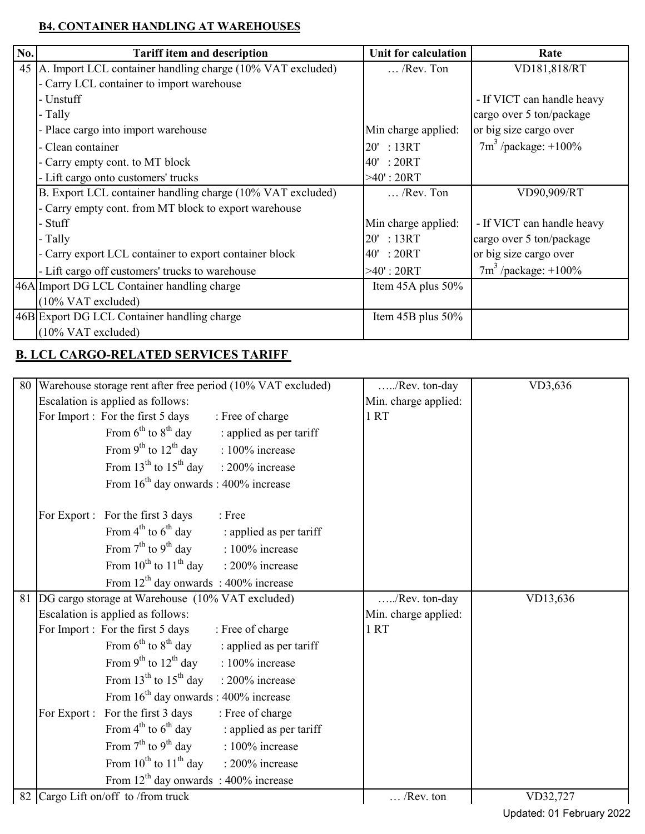## **B4. CONTAINER HANDLING AT WAREHOUSES**

| No. | <b>Tariff item and description</b>                         | Unit for calculation   | Rate                       |  |  |  |  |
|-----|------------------------------------------------------------|------------------------|----------------------------|--|--|--|--|
| 45  | A. Import LCL container handling charge (10% VAT excluded) | $\ldots$ /Rev. Ton     | VD181,818/RT               |  |  |  |  |
|     | - Carry LCL container to import warehouse                  |                        |                            |  |  |  |  |
|     | - Unstuff                                                  |                        | - If VICT can handle heavy |  |  |  |  |
|     | - Tally                                                    |                        | cargo over 5 ton/package   |  |  |  |  |
|     | - Place cargo into import warehouse                        | Min charge applied:    | or big size cargo over     |  |  |  |  |
|     | - Clean container                                          | 20' : 13RT             | $7m^3$ /package: +100%     |  |  |  |  |
|     | - Carry empty cont. to MT block                            | 40': 20RT              |                            |  |  |  |  |
|     | - Lift cargo onto customers' trucks                        | $>40$ ': 20RT          |                            |  |  |  |  |
|     | B. Export LCL container handling charge (10% VAT excluded) | $\ldots$ /Rev. Ton     | VD90,909/RT                |  |  |  |  |
|     | - Carry empty cont. from MT block to export warehouse      |                        |                            |  |  |  |  |
|     | - Stuff                                                    | Min charge applied:    | - If VICT can handle heavy |  |  |  |  |
|     | - Tally                                                    | 20':13RT               | cargo over 5 ton/package   |  |  |  |  |
|     | - Carry export LCL container to export container block     | 40': 20RT              | or big size cargo over     |  |  |  |  |
|     | - Lift cargo off customers' trucks to warehouse            | $>40$ ': 20RT          | $7m^3$ /package: +100%     |  |  |  |  |
|     | 46A Import DG LCL Container handling charge                | Item $45A$ plus $50\%$ |                            |  |  |  |  |
|     | $(10\% \text{ VAT excluded})$                              |                        |                            |  |  |  |  |
|     | 46B Export DG LCL Container handling charge                | Item 45B plus 50%      |                            |  |  |  |  |
|     | $(10\% \text{ VAT excluded})$                              |                        |                            |  |  |  |  |

## **B. LCL CARGO-RELATED SERVICES TARIFF**

| 80 | Warehouse storage rent after free period (10% VAT excluded) |                                                               |                         | /Rev. ton-day        | VD3,636  |
|----|-------------------------------------------------------------|---------------------------------------------------------------|-------------------------|----------------------|----------|
|    | Escalation is applied as follows:                           |                                                               |                         | Min. charge applied: |          |
|    |                                                             | For Import : For the first 5 days                             | : Free of charge        | 1RT                  |          |
|    |                                                             | From $6^{th}$ to $8^{th}$ day                                 | : applied as per tariff |                      |          |
|    |                                                             | From $9^{th}$ to $12^{th}$ day                                | : 100% increase         |                      |          |
|    |                                                             | From 13 <sup>th</sup> to 15 <sup>th</sup> day : 200% increase |                         |                      |          |
|    |                                                             | From $16th$ day onwards : 400% increase                       |                         |                      |          |
|    |                                                             | For Export : For the first 3 days                             | : Free                  |                      |          |
|    |                                                             | From $4^{\text{th}}$ to $6^{\text{th}}$ day                   | : applied as per tariff |                      |          |
|    |                                                             | From $7^{\text{th}}$ to $9^{\text{th}}$ day                   | : 100% increase         |                      |          |
|    |                                                             | From $10^{th}$ to $11^{th}$ day : 200% increase               |                         |                      |          |
|    |                                                             | From $12^{th}$ day onwards : 400% increase                    |                         |                      |          |
| 81 |                                                             | DG cargo storage at Warehouse (10% VAT excluded)              |                         | /Rev. ton-day        | VD13,636 |
|    |                                                             |                                                               |                         |                      |          |
|    |                                                             | Escalation is applied as follows:                             |                         | Min. charge applied: |          |
|    |                                                             | For Import: For the first 5 days                              | : Free of charge        | 1 RT                 |          |
|    |                                                             | From $6^{th}$ to $8^{th}$ day                                 | : applied as per tariff |                      |          |
|    |                                                             | From $9^{th}$ to $12^{th}$ day                                | : 100% increase         |                      |          |
|    |                                                             | From $13^{th}$ to $15^{th}$ day                               | : 200% increase         |                      |          |
|    |                                                             | From $16^{th}$ day onwards : 400% increase                    |                         |                      |          |
|    |                                                             | For Export : For the first 3 days                             | : Free of charge        |                      |          |
|    |                                                             | From $4^{th}$ to $6^{th}$ day                                 | : applied as per tariff |                      |          |
|    |                                                             | From $7^{\text{th}}$ to $9^{\text{th}}$ day                   | : 100% increase         |                      |          |
|    |                                                             | From $10^{th}$ to $11^{th}$ day : 200% increase               |                         |                      |          |
|    |                                                             | From $12^{th}$ day onwards : 400% increase                    |                         |                      |          |